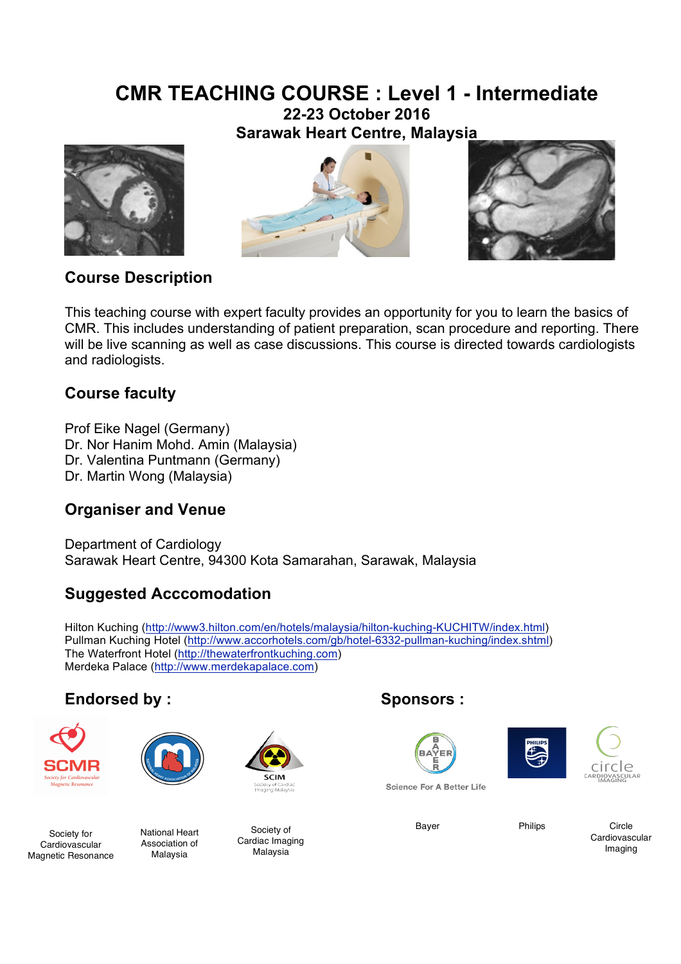# **CMR TEACHING COURSE : Level 1 - Intermediate**

**22-23 October 2016 Sarawak Heart Centre, Malaysia**







# **Course Description**

This teaching course with expert faculty provides an opportunity for you to learn the basics of CMR. This includes understanding of patient preparation, scan procedure and reporting. There will be live scanning as well as case discussions. This course is directed towards cardiologists and radiologists.

# **Course faculty**

Prof Eike Nagel (Germany) Dr. Nor Hanim Mohd. Amin (Malaysia) Dr. Valentina Puntmann (Germany) Dr. Martin Wong (Malaysia)

# **Organiser and Venue**

Department of Cardiology Sarawak Heart Centre, 94300 Kota Samarahan, Sarawak, Malaysia

## **Suggested Acccomodation**

Hilton Kuching (http://www3.hilton.com/en/hotels/malaysia/hilton-kuching-KUCHITW/index.html) Pullman Kuching Hotel (http://www.accorhotels.com/gb/hotel-6332-pullman-kuching/index.shtml) The Waterfront Hotel (http://thewaterfrontkuching.com) Merdeka Palace (http://www.merdekapalace.com)

# **Endorsed by : Sponsors :**





Cardiovascular Magnetic Resonance National Heart Association of Malaysia



Society of Cardiac Imaging Malaysia Society for Mational Heart Society of Society of Bayer Bayer Philips







Science For A Better Life

Circle Cardiovascular Imaging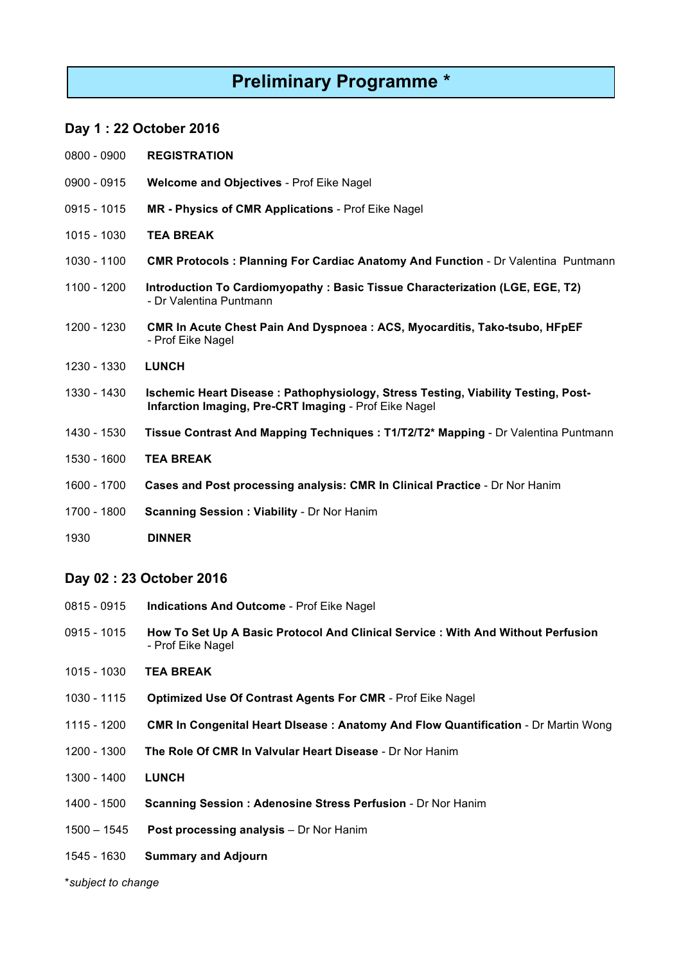# **Preliminary Programme \***

### **Day 1 : 22 October 2016**

- 0900 **REGISTRATION**
- 0915 **Welcome and Objectives** Prof Eike Nagel
- 1015 **MR - Physics of CMR Applications** Prof Eike Nagel
- 1030 **TEA BREAK**
- 1100 **CMR Protocols : Planning For Cardiac Anatomy And Function** Dr Valentina Puntmann
- 1200 **Introduction To Cardiomyopathy : Basic Tissue Characterization (LGE, EGE, T2)** - Dr Valentina Puntmann
- 1230 **CMR In Acute Chest Pain And Dyspnoea : ACS, Myocarditis, Tako-tsubo, HFpEF** - Prof Eike Nagel
- 1330 **LUNCH**
- 1430 **Ischemic Heart Disease : Pathophysiology, Stress Testing, Viability Testing, Post- Infarction Imaging, Pre-CRT Imaging** - Prof Eike Nagel
- 1530 **Tissue Contrast And Mapping Techniques : T1/T2/T2\* Mapping** Dr Valentina Puntmann
- 1600 **TEA BREAK**
- 1700 **Cases and Post processing analysis: CMR In Clinical Practice** Dr Nor Hanim
- 1800 **Scanning Session : Viability** Dr Nor Hanim
- **DINNER**

#### **Day 02 : 23 October 2016**

- 0915 **Indications And Outcome** Prof Eike Nagel
- 1015 **How To Set Up A Basic Protocol And Clinical Service : With And Without Perfusion** - Prof Eike Nagel
- 1030 **TEA BREAK**
- 1115 **Optimized Use Of Contrast Agents For CMR** Prof Eike Nagel
- 1200 **CMR In Congenital Heart DIsease : Anatomy And Flow Quantification** Dr Martin Wong
- 1300 **The Role Of CMR In Valvular Heart Disease** Dr Nor Hanim
- 1400 **LUNCH**
- 1500 **Scanning Session : Adenosine Stress Perfusion** Dr Nor Hanim
- 1545 **Post processing analysis** Dr Nor Hanim
- 1630 **Summary and Adjourn**

\**subject to change*